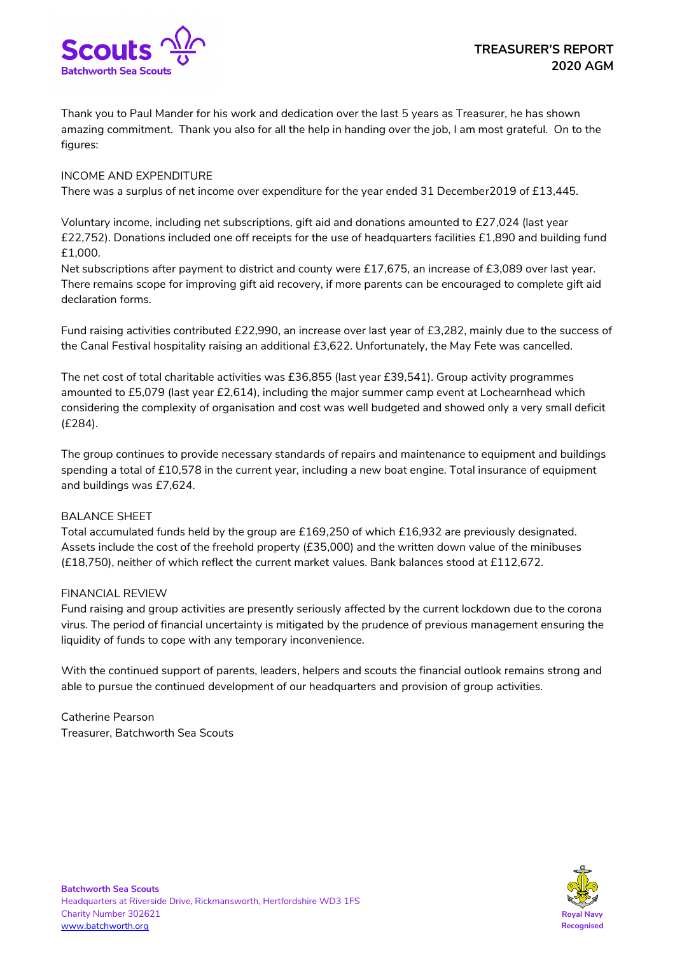

Thank you to Paul Mander for his work and dedication over the last 5 years as Treasurer, he has shown amazing commitment. Thank you also for all the help in handing over the job, I am most grateful. On to the figures:

## INCOME AND EXPENDITURE

There was a surplus of net income over expenditure for the year ended 31 December2019 of £13,445.

Voluntary income, including net subscriptions, gift aid and donations amounted to £27,024 (last year £22,752). Donations included one off receipts for the use of headquarters facilities £1,890 and building fund £1,000.

Net subscriptions after payment to district and county were £17,675, an increase of £3,089 over last year. There remains scope for improving gift aid recovery, if more parents can be encouraged to complete gift aid declaration forms.

Fund raising activities contributed £22,990, an increase over last year of £3,282, mainly due to the success of the Canal Festival hospitality raising an additional £3,622. Unfortunately, the May Fete was cancelled.

The net cost of total charitable activities was £36,855 (last year £39,541). Group activity programmes amounted to £5,079 (last year £2,614), including the major summer camp event at Lochearnhead which considering the complexity of organisation and cost was well budgeted and showed only a very small deficit (£284).

The group continues to provide necessary standards of repairs and maintenance to equipment and buildings spending a total of £10,578 in the current year, including a new boat engine. Total insurance of equipment and buildings was £7,624.

## BALANCE SHEET

Total accumulated funds held by the group are £169,250 of which £16,932 are previously designated. Assets include the cost of the freehold property (£35,000) and the written down value of the minibuses (£18,750), neither of which reflect the current market values. Bank balances stood at £112,672.

## FINANCIAL REVIEW

Fund raising and group activities are presently seriously affected by the current lockdown due to the corona virus. The period of financial uncertainty is mitigated by the prudence of previous management ensuring the liquidity of funds to cope with any temporary inconvenience.

With the continued support of parents, leaders, helpers and scouts the financial outlook remains strong and able to pursue the continued development of our headquarters and provision of group activities.

Catherine Pearson Treasurer, Batchworth Sea Scouts

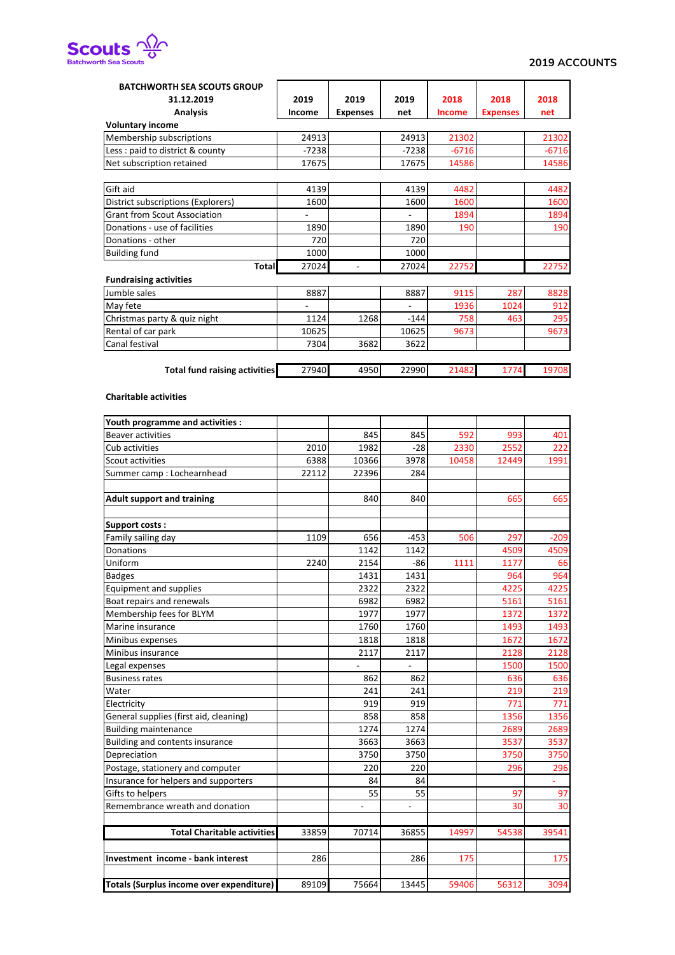

| <b>BATCHWORTH SEA SCOUTS GROUP</b>   |         |                 |         |               |                 |         |  |  |
|--------------------------------------|---------|-----------------|---------|---------------|-----------------|---------|--|--|
| 31.12.2019                           | 2019    | 2019            | 2019    | 2018          | 2018            | 2018    |  |  |
| <b>Analysis</b>                      | Income  | <b>Expenses</b> | net     | <b>Income</b> | <b>Expenses</b> | net     |  |  |
| <b>Voluntary income</b>              |         |                 |         |               |                 |         |  |  |
| Membership subscriptions             | 24913   |                 | 24913   | 21302         |                 | 21302   |  |  |
| Less : paid to district & county     | $-7238$ |                 | $-7238$ | $-6716$       |                 | $-6716$ |  |  |
| Net subscription retained            | 17675   |                 | 17675   | 14586         |                 | 14586   |  |  |
| Gift aid                             | 4139    |                 | 4139    | 4482          |                 | 4482    |  |  |
| District subscriptions (Explorers)   | 1600    |                 | 1600    | 1600          |                 | 1600    |  |  |
| <b>Grant from Scout Association</b>  |         |                 |         | 1894          |                 | 1894    |  |  |
| Donations - use of facilities        | 1890    |                 | 1890    | 190           |                 | 190     |  |  |
| Donations - other                    | 720     |                 | 720     |               |                 |         |  |  |
| <b>Building fund</b>                 | 1000    |                 | 1000    |               |                 |         |  |  |
| <b>Total</b>                         | 27024   |                 | 27024   | 22752         |                 | 22752   |  |  |
| <b>Fundraising activities</b>        |         |                 |         |               |                 |         |  |  |
| Jumble sales                         | 8887    |                 | 8887    | 9115          | 287             | 8828    |  |  |
| May fete                             |         |                 |         | 1936          | 1024            | 912     |  |  |
| Christmas party & quiz night         | 1124    | 1268            | $-144$  | 758           | 463             | 295     |  |  |
| Rental of car park                   | 10625   |                 | 10625   | 9673          |                 | 9673    |  |  |
| Canal festival                       | 7304    | 3682            | 3622    |               |                 |         |  |  |
|                                      |         |                 |         |               |                 |         |  |  |
| <b>Total fund raising activities</b> | 27940   | 4950            | 22990   | 21482         | 1774            | 19708   |  |  |
| <b>Charitable activities</b>         |         |                 |         |               |                 |         |  |  |
| Youth programme and activities :     |         |                 |         |               |                 |         |  |  |
| <b>Beaver activities</b>             |         | 845             | 845     | 592           | 993             | 401     |  |  |
| Cub activities                       | 2010    | 1982            | $-28$   | 2330          | 2552            | 222     |  |  |
| Scout activities                     | 6388    | 10366           | 3978    | 10458         | 12449           | 1991    |  |  |
| Summer camp: Lochearnhead            | 22112   | 22396           | 284     |               |                 |         |  |  |
| <b>Adult support and training</b>    |         | 840             | 840     |               | 665             | 665     |  |  |
|                                      |         |                 |         |               |                 |         |  |  |

| Scout activities                         | <b>6388</b> | 10300 | 3978           | 10458 | 12449 | 1991   |
|------------------------------------------|-------------|-------|----------------|-------|-------|--------|
| Summer camp: Lochearnhead                | 22112       | 22396 | 284            |       |       |        |
|                                          |             |       |                |       |       |        |
| <b>Adult support and training</b>        |             | 840   | 840            |       | 665   | 665    |
| <b>Support costs:</b>                    |             |       |                |       |       |        |
| Family sailing day                       | 1109        | 656   | $-453$         | 506   | 297   | $-209$ |
| <b>Donations</b>                         |             | 1142  | 1142           |       | 4509  | 4509   |
| Uniform                                  | 2240        | 2154  | $-86$          | 1111  | 1177  | 66     |
| <b>Badges</b>                            |             | 1431  | 1431           |       | 964   | 964    |
| Equipment and supplies                   |             | 2322  | 2322           |       | 4225  | 4225   |
| Boat repairs and renewals                |             | 6982  | 6982           |       | 5161  | 5161   |
| Membership fees for BLYM                 |             | 1977  | 1977           |       | 1372  | 1372   |
| Marine insurance                         |             | 1760  | 1760           |       | 1493  | 1493   |
| Minibus expenses                         |             | 1818  | 1818           |       | 1672  | 1672   |
| Minibus insurance                        |             | 2117  | 2117           |       | 2128  | 2128   |
| Legal expenses                           |             |       |                |       | 1500  | 1500   |
| <b>Business rates</b>                    |             | 862   | 862            |       | 636   | 636    |
| Water                                    |             | 241   | 241            |       | 219   | 219    |
| Electricity                              |             | 919   | 919            |       | 771   | 771    |
| General supplies (first aid, cleaning)   |             | 858   | 858            |       | 1356  | 1356   |
| <b>Building maintenance</b>              |             | 1274  | 1274           |       | 2689  | 2689   |
| Building and contents insurance          |             | 3663  | 3663           |       | 3537  | 3537   |
| Depreciation                             |             | 3750  | 3750           |       | 3750  | 3750   |
| Postage, stationery and computer         |             | 220   | 220            |       | 296   | 296    |
| Insurance for helpers and supporters     |             | 84    | 84             |       |       |        |
| Gifts to helpers                         |             | 55    | 55             |       | 97    | 97     |
| Remembrance wreath and donation          |             |       | $\overline{a}$ |       | 30    | 30     |
| <b>Total Charitable activities</b>       | 33859       | 70714 | 36855          | 14997 | 54538 | 39541  |
|                                          |             |       |                |       |       |        |
| Investment income - bank interest        | 286         |       | 286            | 175   |       | 175    |
| Totals (Surplus income over expenditure) | 89109       | 75664 | 13445          | 59406 | 56312 | 3094   |